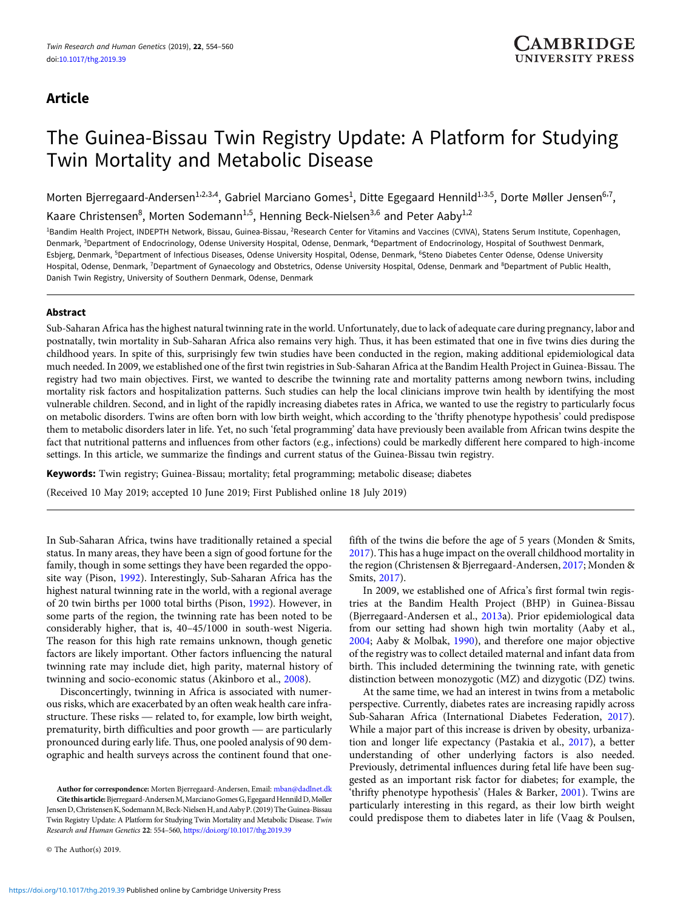# Article

# The Guinea-Bissau Twin Registry Update: A Platform for Studying Twin Mortality and Metabolic Disease

Morten Bjerregaard-Andersen<sup>1,2,3,4</sup>, Gabriel Marciano Gomes<sup>1</sup>, Ditte Egegaard Hennild<sup>1,3,5</sup>, Dorte Møller Jensen<sup>6,7</sup>, Kaare Christensen<sup>8</sup>, Morten Sodemann<sup>1,5</sup>, Henning Beck-Nielsen<sup>3,6</sup> and Peter Aaby<sup>1,2</sup>

<sup>1</sup>Bandim Health Project, INDEPTH Network, Bissau, Guinea-Bissau, <sup>2</sup>Research Center for Vitamins and Vaccines (CVIVA), Statens Serum Institute, Copenhagen, Denmark, <sup>3</sup>Department of Endocrinology, Odense University Hospital, Odense, Denmark, <sup>4</sup>Department of Endocrinology, Hospital of Southwest Denmark, Esbjerg, Denmark, <sup>5</sup>Department of Infectious Diseases, Odense University Hospital, Odense, Denmark, <sup>6</sup>Steno Diabetes Center Odense, Odense University Hospital, Odense, Denmark, <sup>7</sup>Department of Gynaecology and Obstetrics, Odense University Hospital, Odense, Denmark and <sup>8</sup>Department of Public Health, Danish Twin Registry, University of Southern Denmark, Odense, Denmark

# Abstract

Sub-Saharan Africa has the highest natural twinning rate in the world. Unfortunately, due to lack of adequate care during pregnancy, labor and postnatally, twin mortality in Sub-Saharan Africa also remains very high. Thus, it has been estimated that one in five twins dies during the childhood years. In spite of this, surprisingly few twin studies have been conducted in the region, making additional epidemiological data much needed. In 2009, we established one of the first twin registries in Sub-Saharan Africa at the Bandim Health Project in Guinea-Bissau. The registry had two main objectives. First, we wanted to describe the twinning rate and mortality patterns among newborn twins, including mortality risk factors and hospitalization patterns. Such studies can help the local clinicians improve twin health by identifying the most vulnerable children. Second, and in light of the rapidly increasing diabetes rates in Africa, we wanted to use the registry to particularly focus on metabolic disorders. Twins are often born with low birth weight, which according to the 'thrifty phenotype hypothesis' could predispose them to metabolic disorders later in life. Yet, no such 'fetal programming' data have previously been available from African twins despite the fact that nutritional patterns and influences from other factors (e.g., infections) could be markedly different here compared to high-income settings. In this article, we summarize the findings and current status of the Guinea-Bissau twin registry.

Keywords: Twin registry; Guinea-Bissau; mortality; fetal programming; metabolic disease; diabetes

(Received 10 May 2019; accepted 10 June 2019; First Published online 18 July 2019)

In Sub-Saharan Africa, twins have traditionally retained a special status. In many areas, they have been a sign of good fortune for the family, though in some settings they have been regarded the opposite way (Pison, [1992\)](#page-6-0). Interestingly, Sub-Saharan Africa has the highest natural twinning rate in the world, with a regional average of 20 twin births per 1000 total births (Pison, [1992\)](#page-6-0). However, in some parts of the region, the twinning rate has been noted to be considerably higher, that is, 40–45/1000 in south-west Nigeria. The reason for this high rate remains unknown, though genetic factors are likely important. Other factors influencing the natural twinning rate may include diet, high parity, maternal history of twinning and socio-economic status (Akinboro et al., [2008\)](#page-5-0).

Disconcertingly, twinning in Africa is associated with numerous risks, which are exacerbated by an often weak health care infra-Following rate may include diet, fight partly, material instory of<br>twinning and socio-economic status (Akinboro et al., 2008).<br>Disconcertingly, twinning in Africa is associated with numer-<br>ous risks, which are exacerbated winning and socio-economic status (AKINOOTO et al., 2008).<br>Disconcertingly, twinning in Africa is associated with numer-<br>ous risks, which are exacerbated by an often weak health care infra-<br>structure. These risks — related pronounced during early life. Thus, one pooled analysis of 90 demographic and health surveys across the continent found that one-

Author for correspondence: Morten Bjerregaard-Andersen, Email: [mban@dadlnet.dk](mailto:mban@dadlnet.dk) Cite this article: Bjerregaard-Andersen M, Marciano Gomes G, Egegaard Hennild D, Møller Jensen D, Christensen K, Sodemann M, Beck-Nielsen H, and Aaby P, (2019) The Guinea-Bissau Twin Registry Update: A Platform for Studying Twin Mortality and Metabolic Disease. Twin Research and Human Genetics 22: 554–560, <https://doi.org/10.1017/thg.2019.39>

© The Author(s) 2019.

fifth of the twins die before the age of 5 years (Monden & Smits, [2017\)](#page-6-0). This has a huge impact on the overall childhood mortality in the region (Christensen & Bjerregaard-Andersen, [2017;](#page-5-0) Monden & Smits, [2017\)](#page-6-0).

In 2009, we established one of Africa's first formal twin registries at the Bandim Health Project (BHP) in Guinea-Bissau (Bjerregaard-Andersen et al., [2013](#page-5-0)a). Prior epidemiological data from our setting had shown high twin mortality (Aaby et al., [2004;](#page-5-0) Aaby & Molbak, [1990\)](#page-5-0), and therefore one major objective of the registry was to collect detailed maternal and infant data from birth. This included determining the twinning rate, with genetic distinction between monozygotic (MZ) and dizygotic (DZ) twins.

At the same time, we had an interest in twins from a metabolic perspective. Currently, diabetes rates are increasing rapidly across Sub-Saharan Africa (International Diabetes Federation, [2017](#page-5-0)). While a major part of this increase is driven by obesity, urbanization and longer life expectancy (Pastakia et al., [2017](#page-6-0)), a better understanding of other underlying factors is also needed. Previously, detrimental influences during fetal life have been suggested as an important risk factor for diabetes; for example, the 'thrifty phenotype hypothesis' (Hales & Barker, [2001](#page-5-0)). Twins are particularly interesting in this regard, as their low birth weight could predispose them to diabetes later in life (Vaag & Poulsen,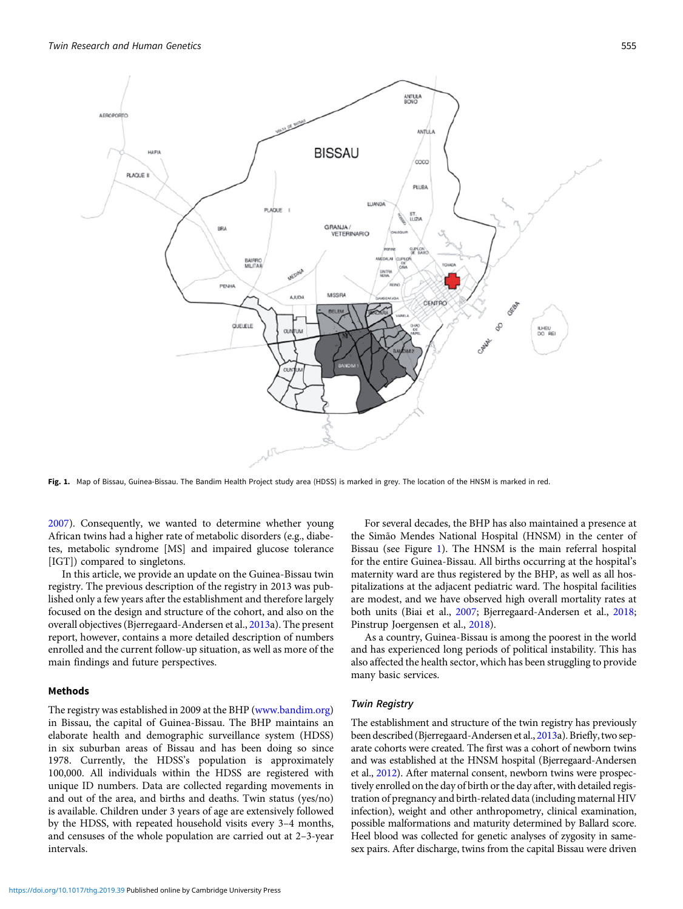

Fig. 1. Map of Bissau, Guinea-Bissau. The Bandim Health Project study area (HDSS) is marked in grey. The location of the HNSM is marked in red.

[2007](#page-6-0)). Consequently, we wanted to determine whether young African twins had a higher rate of metabolic disorders (e.g., diabetes, metabolic syndrome [MS] and impaired glucose tolerance [IGT]) compared to singletons.

In this article, we provide an update on the Guinea-Bissau twin registry. The previous description of the registry in 2013 was published only a few years after the establishment and therefore largely focused on the design and structure of the cohort, and also on the overall objectives (Bjerregaard-Andersen et al., [2013a](#page-5-0)). The present report, however, contains a more detailed description of numbers enrolled and the current follow-up situation, as well as more of the main findings and future perspectives.

# Methods

The registry was established in 2009 at the BHP [\(www.bandim.org\)](http://www.bandim.org) in Bissau, the capital of Guinea-Bissau. The BHP maintains an elaborate health and demographic surveillance system (HDSS) in six suburban areas of Bissau and has been doing so since 1978. Currently, the HDSS's population is approximately 100,000. All individuals within the HDSS are registered with unique ID numbers. Data are collected regarding movements in and out of the area, and births and deaths. Twin status (yes/no) is available. Children under 3 years of age are extensively followed by the HDSS, with repeated household visits every 3–4 months, and censuses of the whole population are carried out at 2–3-year intervals.

For several decades, the BHP has also maintained a presence at the Simão Mendes National Hospital (HNSM) in the center of Bissau (see Figure 1). The HNSM is the main referral hospital for the entire Guinea-Bissau. All births occurring at the hospital's maternity ward are thus registered by the BHP, as well as all hospitalizations at the adjacent pediatric ward. The hospital facilities are modest, and we have observed high overall mortality rates at both units (Biai et al., [2007;](#page-5-0) Bjerregaard-Andersen et al., [2018;](#page-5-0) Pinstrup Joergensen et al., [2018](#page-6-0)).

As a country, Guinea-Bissau is among the poorest in the world and has experienced long periods of political instability. This has also affected the health sector, which has been struggling to provide many basic services.

#### Twin Registry

The establishment and structure of the twin registry has previously been described (Bjerregaard-Andersen et al., [2013a](#page-5-0)). Briefly, two separate cohorts were created. The first was a cohort of newborn twins and was established at the HNSM hospital (Bjerregaard-Andersen et al., [2012](#page-5-0)). After maternal consent, newborn twins were prospectively enrolled on the day of birth or the day after, with detailed registration of pregnancy and birth-related data (including maternal HIV infection), weight and other anthropometry, clinical examination, possible malformations and maturity determined by Ballard score. Heel blood was collected for genetic analyses of zygosity in samesex pairs. After discharge, twins from the capital Bissau were driven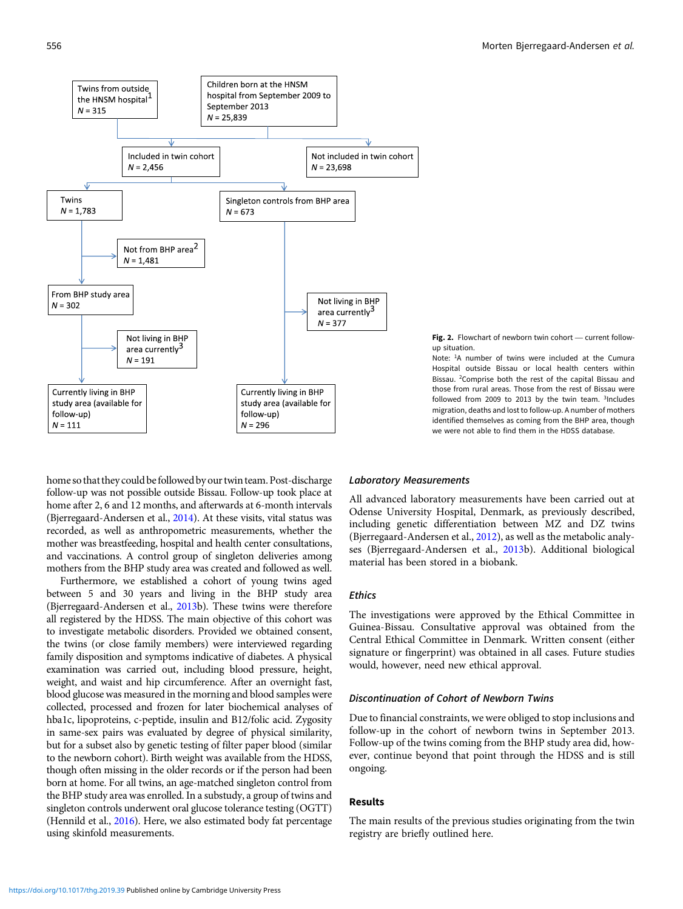<span id="page-2-0"></span>



Note: <sup>1</sup>A number of twins were included at the Cumura Hospital outside Bissau or local health centers within Bissau. <sup>2</sup> Comprise both the rest of the capital Bissau and those from rural areas. Those from the rest of Bissau were followed from 2009 to 2013 by the twin team. <sup>3</sup>Includes migration, deaths and lost to follow-up. A number of mothers identified themselves as coming from the BHP area, though we were not able to find them in the HDSS database.

home so that they could be followed by our twin team. Post-discharge follow-up was not possible outside Bissau. Follow-up took place at home after 2, 6 and 12 months, and afterwards at 6-month intervals (Bjerregaard-Andersen et al., [2014\)](#page-5-0). At these visits, vital status was recorded, as well as anthropometric measurements, whether the mother was breastfeeding, hospital and health center consultations, and vaccinations. A control group of singleton deliveries among mothers from the BHP study area was created and followed as well.

Furthermore, we established a cohort of young twins aged between 5 and 30 years and living in the BHP study area (Bjerregaard-Andersen et al., [2013b](#page-5-0)). These twins were therefore all registered by the HDSS. The main objective of this cohort was to investigate metabolic disorders. Provided we obtained consent, the twins (or close family members) were interviewed regarding family disposition and symptoms indicative of diabetes. A physical examination was carried out, including blood pressure, height, weight, and waist and hip circumference. After an overnight fast, blood glucose was measured in the morning and blood samples were collected, processed and frozen for later biochemical analyses of hba1c, lipoproteins, c-peptide, insulin and B12/folic acid. Zygosity in same-sex pairs was evaluated by degree of physical similarity, but for a subset also by genetic testing of filter paper blood (similar to the newborn cohort). Birth weight was available from the HDSS, though often missing in the older records or if the person had been born at home. For all twins, an age-matched singleton control from the BHP study area was enrolled. In a substudy, a group of twins and singleton controls underwent oral glucose tolerance testing (OGTT) (Hennild et al., [2016](#page-5-0)). Here, we also estimated body fat percentage using skinfold measurements.

## Laboratory Measurements

All advanced laboratory measurements have been carried out at Odense University Hospital, Denmark, as previously described, including genetic differentiation between MZ and DZ twins (Bjerregaard-Andersen et al., [2012](#page-5-0)), as well as the metabolic analyses (Bjerregaard-Andersen et al., [2013b](#page-5-0)). Additional biological material has been stored in a biobank.

## Ethics

The investigations were approved by the Ethical Committee in Guinea-Bissau. Consultative approval was obtained from the Central Ethical Committee in Denmark. Written consent (either signature or fingerprint) was obtained in all cases. Future studies would, however, need new ethical approval.

# Discontinuation of Cohort of Newborn Twins

Due to financial constraints, we were obliged to stop inclusions and follow-up in the cohort of newborn twins in September 2013. Follow-up of the twins coming from the BHP study area did, however, continue beyond that point through the HDSS and is still ongoing.

#### Results

The main results of the previous studies originating from the twin registry are briefly outlined here.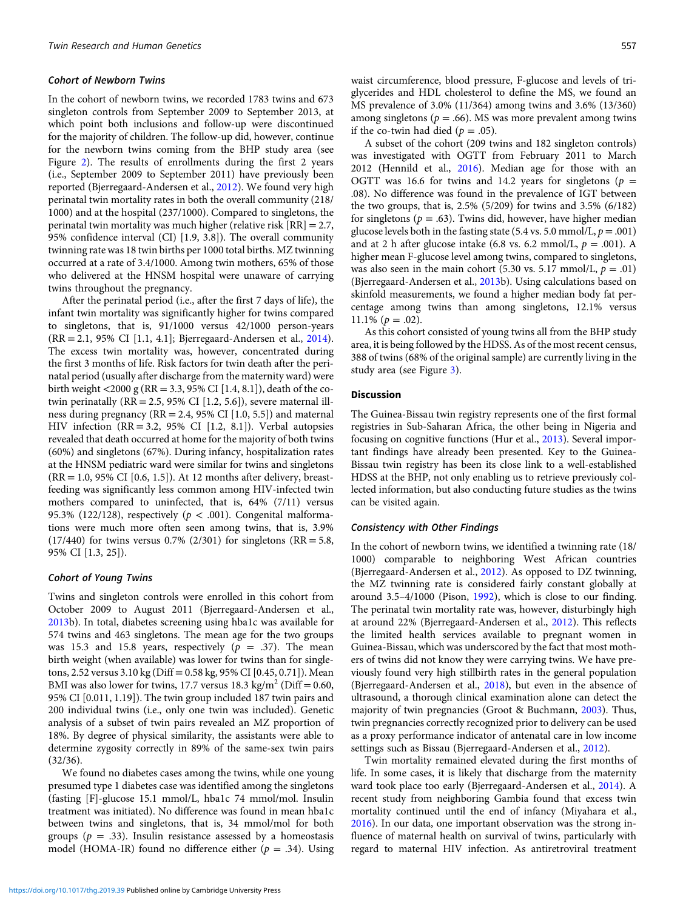## Cohort of Newborn Twins

In the cohort of newborn twins, we recorded 1783 twins and 673 singleton controls from September 2009 to September 2013, at which point both inclusions and follow-up were discontinued for the majority of children. The follow-up did, however, continue for the newborn twins coming from the BHP study area (see Figure [2](#page-2-0)). The results of enrollments during the first 2 years (i.e., September 2009 to September 2011) have previously been reported (Bjerregaard-Andersen et al., [2012](#page-5-0)). We found very high perinatal twin mortality rates in both the overall community (218/ 1000) and at the hospital (237/1000). Compared to singletons, the perinatal twin mortality was much higher (relative risk [RR] = 2.7, 95% confidence interval (CI) [1.9, 3.8]). The overall community twinning rate was 18 twin births per 1000 total births. MZ twinning occurred at a rate of 3.4/1000. Among twin mothers, 65% of those who delivered at the HNSM hospital were unaware of carrying twins throughout the pregnancy.

After the perinatal period (i.e., after the first 7 days of life), the infant twin mortality was significantly higher for twins compared to singletons, that is, 91/1000 versus 42/1000 person-years (RR = 2.1, 95% CI [1.1, 4.1]; Bjerregaard-Andersen et al., [2014\)](#page-5-0). The excess twin mortality was, however, concentrated during the first 3 months of life. Risk factors for twin death after the perinatal period (usually after discharge from the maternity ward) were birth weight <2000 g (RR = 3.3, 95% CI [1.4, 8.1]), death of the cotwin perinatally  $(RR = 2.5, 95\% \text{ CI} [1.2, 5.6])$ , severe maternal illness during pregnancy ( $RR = 2.4$ , 95% CI [1.0, 5.5]) and maternal HIV infection  $(RR = 3.2, 95\% \text{ CI} [1.2, 8.1])$ . Verbal autopsies revealed that death occurred at home for the majority of both twins (60%) and singletons (67%). During infancy, hospitalization rates at the HNSM pediatric ward were similar for twins and singletons  $(RR = 1.0, 95\% \text{ CI } [0.6, 1.5])$ . At 12 months after delivery, breastfeeding was significantly less common among HIV-infected twin mothers compared to uninfected, that is, 64% (7/11) versus 95.3% (122/128), respectively ( $p < .001$ ). Congenital malformations were much more often seen among twins, that is, 3.9%  $(17/440)$  for twins versus 0.7%  $(2/301)$  for singletons (RR = 5.8, 95% CI [1.3, 25]).

#### Cohort of Young Twins

Twins and singleton controls were enrolled in this cohort from October 2009 to August 2011 (Bjerregaard-Andersen et al., [2013](#page-5-0)b). In total, diabetes screening using hba1c was available for 574 twins and 463 singletons. The mean age for the two groups was 15.3 and 15.8 years, respectively ( $p = .37$ ). The mean birth weight (when available) was lower for twins than for singletons, 2.52 versus 3.10 kg (Diff = 0.58 kg, 95% CI [0.45, 0.71]). Mean BMI was also lower for twins, 17.7 versus 18.3 kg/m<sup>2</sup> (Diff = 0.60, 95% CI [0.011, 1.19]). The twin group included 187 twin pairs and 200 individual twins (i.e., only one twin was included). Genetic analysis of a subset of twin pairs revealed an MZ proportion of 18%. By degree of physical similarity, the assistants were able to determine zygosity correctly in 89% of the same-sex twin pairs (32/36).

We found no diabetes cases among the twins, while one young presumed type 1 diabetes case was identified among the singletons (fasting [F]-glucose 15.1 mmol/L, hba1c 74 mmol/mol. Insulin treatment was initiated). No difference was found in mean hba1c between twins and singletons, that is, 34 mmol/mol for both groups ( $p = .33$ ). Insulin resistance assessed by a homeostasis model (HOMA-IR) found no difference either ( $p = .34$ ). Using waist circumference, blood pressure, F-glucose and levels of triglycerides and HDL cholesterol to define the MS, we found an MS prevalence of 3.0% (11/364) among twins and 3.6% (13/360) among singletons ( $p = .66$ ). MS was more prevalent among twins if the co-twin had died ( $p = .05$ ).

A subset of the cohort (209 twins and 182 singleton controls) was investigated with OGTT from February 2011 to March 2012 (Hennild et al., [2016](#page-5-0)). Median age for those with an OGTT was 16.6 for twins and 14.2 years for singletons ( $p =$ .08). No difference was found in the prevalence of IGT between the two groups, that is, 2.5% (5/209) for twins and 3.5% (6/182) for singletons ( $p = .63$ ). Twins did, however, have higher median glucose levels both in the fasting state (5.4 vs. 5.0 mmol/L,  $p = .001$ ) and at 2 h after glucose intake (6.8 vs. 6.2 mmol/L,  $p = .001$ ). A higher mean F-glucose level among twins, compared to singletons, was also seen in the main cohort (5.30 vs. 5.17 mmol/L,  $p = .01$ ) (Bjerregaard-Andersen et al., [2013b](#page-5-0)). Using calculations based on skinfold measurements, we found a higher median body fat percentage among twins than among singletons, 12.1% versus 11.1%  $(p=.02)$ .

As this cohort consisted of young twins all from the BHP study area, it is being followed by the HDSS. As of the most recent census, 388 of twins (68% of the original sample) are currently living in the study area (see Figure [3](#page-4-0)).

# Discussion

The Guinea-Bissau twin registry represents one of the first formal registries in Sub-Saharan Africa, the other being in Nigeria and focusing on cognitive functions (Hur et al., [2013\)](#page-5-0). Several important findings have already been presented. Key to the Guinea-Bissau twin registry has been its close link to a well-established HDSS at the BHP, not only enabling us to retrieve previously collected information, but also conducting future studies as the twins can be visited again.

#### Consistency with Other Findings

In the cohort of newborn twins, we identified a twinning rate (18/ 1000) comparable to neighboring West African countries (Bjerregaard-Andersen et al., [2012](#page-5-0)). As opposed to DZ twinning, the MZ twinning rate is considered fairly constant globally at around 3.5–4/1000 (Pison, [1992\)](#page-6-0), which is close to our finding. The perinatal twin mortality rate was, however, disturbingly high at around 22% (Bjerregaard-Andersen et al., [2012](#page-5-0)). This reflects the limited health services available to pregnant women in Guinea-Bissau, which was underscored by the fact that most mothers of twins did not know they were carrying twins. We have previously found very high stillbirth rates in the general population (Bjerregaard-Andersen et al., [2018](#page-5-0)), but even in the absence of ultrasound, a thorough clinical examination alone can detect the majority of twin pregnancies (Groot & Buchmann, [2003\)](#page-5-0). Thus, twin pregnancies correctly recognized prior to delivery can be used as a proxy performance indicator of antenatal care in low income settings such as Bissau (Bjerregaard-Andersen et al., [2012\)](#page-5-0).

Twin mortality remained elevated during the first months of life. In some cases, it is likely that discharge from the maternity ward took place too early (Bjerregaard-Andersen et al., [2014\)](#page-5-0). A recent study from neighboring Gambia found that excess twin mortality continued until the end of infancy (Miyahara et al., [2016](#page-5-0)). In our data, one important observation was the strong influence of maternal health on survival of twins, particularly with regard to maternal HIV infection. As antiretroviral treatment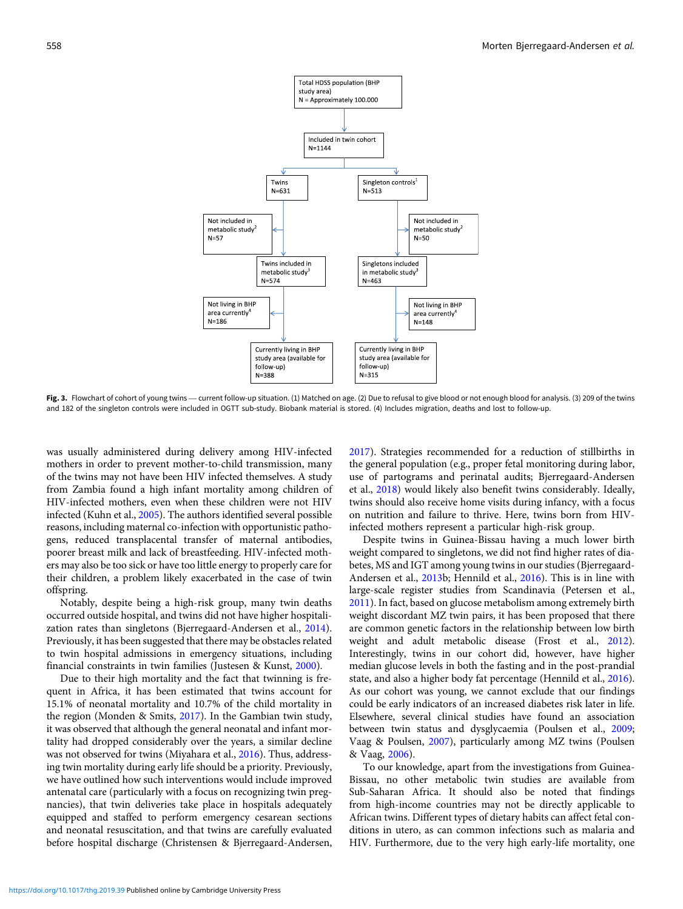<span id="page-4-0"></span>

and 182 of the singleton controls were included in OGTT sub-study. Biobank material is stored. (4) Includes migration, deaths and lost to follow-up.

was usually administered during delivery among HIV-infected mothers in order to prevent mother-to-child transmission, many of the twins may not have been HIV infected themselves. A study from Zambia found a high infant mortality among children of HIV-infected mothers, even when these children were not HIV infected (Kuhn et al., [2005\)](#page-5-0). The authors identified several possible reasons, including maternal co-infection with opportunistic pathogens, reduced transplacental transfer of maternal antibodies, poorer breast milk and lack of breastfeeding. HIV-infected mothers may also be too sick or have too little energy to properly care for their children, a problem likely exacerbated in the case of twin offspring.

Notably, despite being a high-risk group, many twin deaths occurred outside hospital, and twins did not have higher hospitalization rates than singletons (Bjerregaard-Andersen et al., [2014](#page-5-0)). Previously, it has been suggested that there may be obstacles related to twin hospital admissions in emergency situations, including financial constraints in twin families (Justesen & Kunst, [2000\)](#page-5-0).

Due to their high mortality and the fact that twinning is frequent in Africa, it has been estimated that twins account for 15.1% of neonatal mortality and 10.7% of the child mortality in the region (Monden & Smits, [2017\)](#page-6-0). In the Gambian twin study, it was observed that although the general neonatal and infant mortality had dropped considerably over the years, a similar decline was not observed for twins (Miyahara et al., [2016](#page-5-0)). Thus, addressing twin mortality during early life should be a priority. Previously, we have outlined how such interventions would include improved antenatal care (particularly with a focus on recognizing twin pregnancies), that twin deliveries take place in hospitals adequately equipped and staffed to perform emergency cesarean sections and neonatal resuscitation, and that twins are carefully evaluated before hospital discharge (Christensen & Bjerregaard-Andersen, [2017\)](#page-5-0). Strategies recommended for a reduction of stillbirths in the general population (e.g., proper fetal monitoring during labor, use of partograms and perinatal audits; Bjerregaard-Andersen et al., [2018](#page-5-0)) would likely also benefit twins considerably. Ideally, twins should also receive home visits during infancy, with a focus on nutrition and failure to thrive. Here, twins born from HIVinfected mothers represent a particular high-risk group.

Despite twins in Guinea-Bissau having a much lower birth weight compared to singletons, we did not find higher rates of diabetes, MS and IGT among young twins in our studies (Bjerregaard-Andersen et al., [2013b](#page-5-0); Hennild et al., [2016\)](#page-5-0). This is in line with large-scale register studies from Scandinavia (Petersen et al., [2011\)](#page-6-0). In fact, based on glucose metabolism among extremely birth weight discordant MZ twin pairs, it has been proposed that there are common genetic factors in the relationship between low birth weight and adult metabolic disease (Frost et al., [2012](#page-5-0)). Interestingly, twins in our cohort did, however, have higher median glucose levels in both the fasting and in the post-prandial state, and also a higher body fat percentage (Hennild et al., [2016](#page-5-0)). As our cohort was young, we cannot exclude that our findings could be early indicators of an increased diabetes risk later in life. Elsewhere, several clinical studies have found an association between twin status and dysglycaemia (Poulsen et al., [2009](#page-6-0); Vaag & Poulsen, [2007](#page-6-0)), particularly among MZ twins (Poulsen & Vaag, [2006\)](#page-6-0).

To our knowledge, apart from the investigations from Guinea-Bissau, no other metabolic twin studies are available from Sub-Saharan Africa. It should also be noted that findings from high-income countries may not be directly applicable to African twins. Different types of dietary habits can affect fetal conditions in utero, as can common infections such as malaria and HIV. Furthermore, due to the very high early-life mortality, one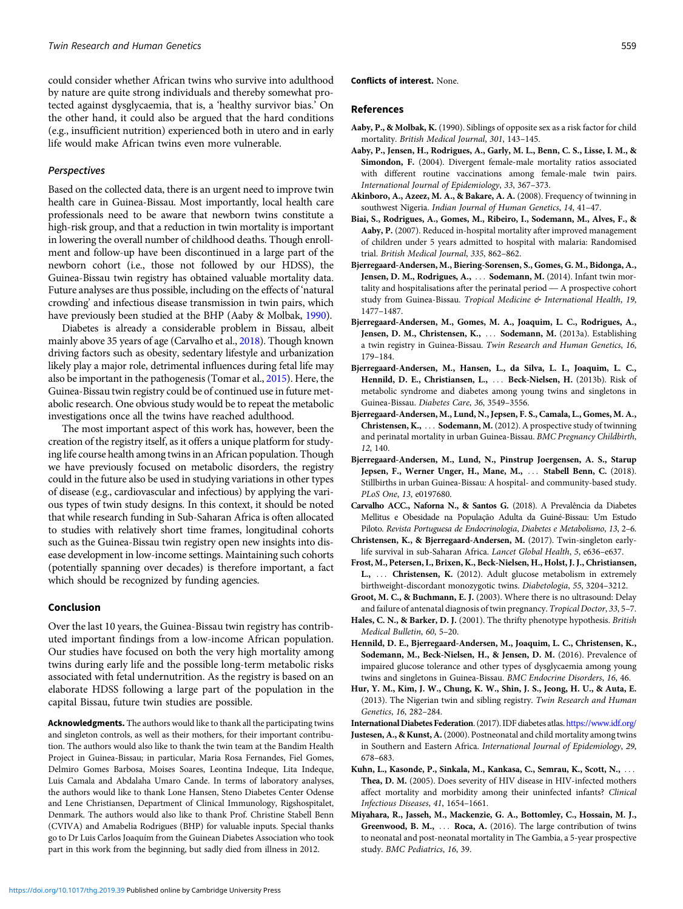<span id="page-5-0"></span>could consider whether African twins who survive into adulthood by nature are quite strong individuals and thereby somewhat protected against dysglycaemia, that is, a 'healthy survivor bias.' On the other hand, it could also be argued that the hard conditions (e.g., insufficient nutrition) experienced both in utero and in early life would make African twins even more vulnerable.

#### Perspectives

Based on the collected data, there is an urgent need to improve twin health care in Guinea-Bissau. Most importantly, local health care professionals need to be aware that newborn twins constitute a high-risk group, and that a reduction in twin mortality is important in lowering the overall number of childhood deaths. Though enrollment and follow-up have been discontinued in a large part of the newborn cohort (i.e., those not followed by our HDSS), the Guinea-Bissau twin registry has obtained valuable mortality data. Future analyses are thus possible, including on the effects of 'natural crowding' and infectious disease transmission in twin pairs, which have previously been studied at the BHP (Aaby & Molbak, 1990).

Diabetes is already a considerable problem in Bissau, albeit mainly above 35 years of age (Carvalho et al., 2018). Though known driving factors such as obesity, sedentary lifestyle and urbanization likely play a major role, detrimental influences during fetal life may also be important in the pathogenesis (Tomar et al., [2015](#page-6-0)). Here, the Guinea-Bissau twin registry could be of continued use in future metabolic research. One obvious study would be to repeat the metabolic investigations once all the twins have reached adulthood.

The most important aspect of this work has, however, been the creation of the registry itself, as it offers a unique platform for studying life course health among twins in an African population. Though we have previously focused on metabolic disorders, the registry could in the future also be used in studying variations in other types of disease (e.g., cardiovascular and infectious) by applying the various types of twin study designs. In this context, it should be noted that while research funding in Sub-Saharan Africa is often allocated to studies with relatively short time frames, longitudinal cohorts such as the Guinea-Bissau twin registry open new insights into disease development in low-income settings. Maintaining such cohorts (potentially spanning over decades) is therefore important, a fact which should be recognized by funding agencies.

#### Conclusion

Over the last 10 years, the Guinea-Bissau twin registry has contributed important findings from a low-income African population. Our studies have focused on both the very high mortality among twins during early life and the possible long-term metabolic risks associated with fetal undernutrition. As the registry is based on an elaborate HDSS following a large part of the population in the capital Bissau, future twin studies are possible.

Acknowledgments. The authors would like to thank all the participating twins and singleton controls, as well as their mothers, for their important contribution. The authors would also like to thank the twin team at the Bandim Health Project in Guinea-Bissau; in particular, Maria Rosa Fernandes, Fiel Gomes, Delmiro Gomes Barbosa, Moises Soares, Leontina Indeque, Lita Indeque, Luis Camala and Abdalaha Umaro Cande. In terms of laboratory analyses, the authors would like to thank Lone Hansen, Steno Diabetes Center Odense and Lene Christiansen, Department of Clinical Immunology, Rigshospitalet, Denmark. The authors would also like to thank Prof. Christine Stabell Benn (CVIVA) and Amabelia Rodrigues (BHP) for valuable inputs. Special thanks go to Dr Luis Carlos Joaquím from the Guinean Diabetes Association who took part in this work from the beginning, but sadly died from illness in 2012.

#### Conflicts of interest. None.

#### References

- Aaby, P., & Molbak, K. (1990). Siblings of opposite sex as a risk factor for child mortality. British Medical Journal, 301, 143–145.
- Aaby, P., Jensen, H., Rodrigues, A., Garly, M. L., Benn, C. S., Lisse, I. M., & Simondon, F. (2004). Divergent female-male mortality ratios associated with different routine vaccinations among female-male twin pairs. International Journal of Epidemiology, 33, 367–373.
- Akinboro, A., Azeez, M. A., & Bakare, A. A. (2008). Frequency of twinning in southwest Nigeria. Indian Journal of Human Genetics, 14, 41–47.
- Biai, S., Rodrigues, A., Gomes, M., Ribeiro, I., Sodemann, M., Alves, F., & Aaby, P. (2007). Reduced in-hospital mortality after improved management of children under 5 years admitted to hospital with malaria: Randomised trial. British Medical Journal, 335, 862–862.
- Bjerregaard-Andersen, M., Biering-Sorensen, S., Gomes, G. M., Bidonga, A., Jensen, D. M., Rodrigues, A., ... Sodemann, M. (2014). Infant twin mortality and hospitalisations after the perinatal period — A prospective cohort study from Guinea-Bissau. Tropical Medicine & International Health, 19, 1477–1487.
- Bjerregaard-Andersen, M., Gomes, M. A., Joaquim, L. C., Rodrigues, A., Jensen, D. M., Christensen, K., ... Sodemann, M. (2013a). Establishing a twin registry in Guinea-Bissau. Twin Research and Human Genetics, 16, 179–184.
- Bjerregaard-Andersen, M., Hansen, L., da Silva, L. I., Joaquim, L. C., Hennild, D. E., Christiansen, L., ... Beck-Nielsen, H. (2013b). Risk of metabolic syndrome and diabetes among young twins and singletons in Guinea-Bissau. Diabetes Care, 36, 3549–3556.
- Bjerregaard-Andersen, M., Lund, N., Jepsen, F. S., Camala, L., Gomes, M. A., Christensen, K., ... Sodemann, M. (2012). A prospective study of twinning and perinatal mortality in urban Guinea-Bissau. BMC Pregnancy Childbirth, 12, 140.
- Bjerregaard-Andersen, M., Lund, N., Pinstrup Joergensen, A. S., Starup Jepsen, F., Werner Unger, H., Mane, M., ... Stabell Benn, C. (2018). Stillbirths in urban Guinea-Bissau: A hospital- and community-based study. PLoS One, 13, e0197680.

Carvalho ACC., Naforna N., & Santos G. (2018). A Prevalência da Diabetes Mellitus e Obesidade na População Adulta da Guiné-Bissau: Um Estudo Piloto. Revista Portuguesa de Endocrinologia, Diabetes e Metabolismo, 13, 2–6.

- Christensen, K., & Bjerregaard-Andersen, M. (2017). Twin-singleton earlylife survival in sub-Saharan Africa. Lancet Global Health, 5, e636–e637.
- Frost, M., Petersen, I., Brixen, K., Beck-Nielsen, H., Holst, J. J., Christiansen, L., ... Christensen, K. (2012). Adult glucose metabolism in extremely birthweight-discordant monozygotic twins. Diabetologia, 55, 3204–3212.
- Groot, M. C., & Buchmann, E. J. (2003). Where there is no ultrasound: Delay and failure of antenatal diagnosis of twin pregnancy. Tropical Doctor, 33, 5–7.
- Hales, C. N., & Barker, D. J. (2001). The thrifty phenotype hypothesis. British Medical Bulletin, 60, 5–20.
- Hennild, D. E., Bjerregaard-Andersen, M., Joaquim, L. C., Christensen, K., Sodemann, M., Beck-Nielsen, H., & Jensen, D. M. (2016). Prevalence of impaired glucose tolerance and other types of dysglycaemia among young twins and singletons in Guinea-Bissau. BMC Endocrine Disorders, 16, 46.
- Hur, Y. M., Kim, J. W., Chung, K. W., Shin, J. S., Jeong, H. U., & Auta, E. (2013). The Nigerian twin and sibling registry. Twin Research and Human Genetics, 16, 282–284.
- International Diabetes Federation. (2017). IDF diabetes atlas. <https://www.idf.org/>
- Justesen, A., & Kunst, A.(2000). Postneonatal and child mortality among twins in Southern and Eastern Africa. International Journal of Epidemiology, 29, 678–683.
- Kuhn, L., Kasonde, P., Sinkala, M., Kankasa, C., Semrau, K., Scott, N., ... Thea, D. M. (2005). Does severity of HIV disease in HIV-infected mothers affect mortality and morbidity among their uninfected infants? Clinical Infectious Diseases, 41, 1654–1661.
- Miyahara, R., Jasseh, M., Mackenzie, G. A., Bottomley, C., Hossain, M. J., Greenwood, B. M., ... Roca, A. (2016). The large contribution of twins to neonatal and post-neonatal mortality in The Gambia, a 5-year prospective study. BMC Pediatrics, 16, 39.